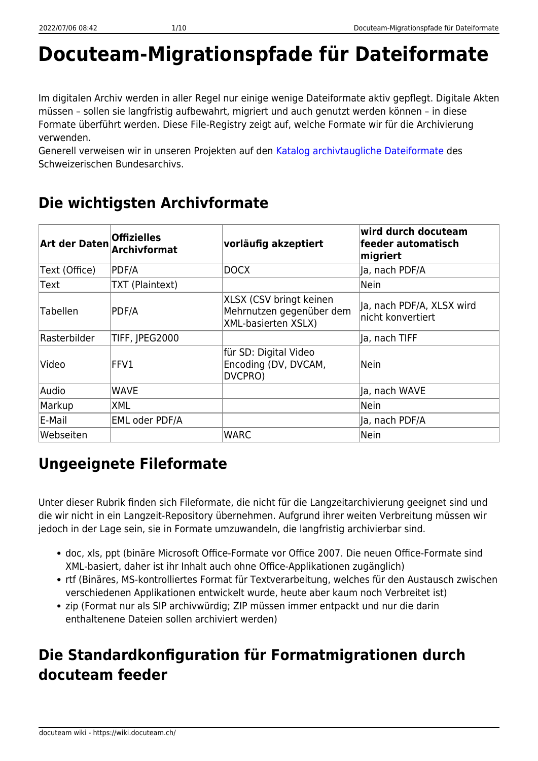# **Docuteam-Migrationspfade für Dateiformate**

Im digitalen Archiv werden in aller Regel nur einige wenige Dateiformate aktiv gepflegt. Digitale Akten müssen – sollen sie langfristig aufbewahrt, migriert und auch genutzt werden können – in diese Formate überführt werden. Diese File-Registry zeigt auf, welche Formate wir für die Archivierung verwenden.

Generell verweisen wir in unseren Projekten auf den [Katalog archivtaugliche Dateiformate](https://www.bar.admin.ch/dam/bar/de/dokumente/konzepte_und_weisungen/archivtaugliche_dateiformate.1.pdf.download.pdf/archivtaugliche_dateiformate.pdf) des Schweizerischen Bundesarchivs.

### **Die wichtigsten Archivformate**

| Art der Daten   | <b>Offizielles</b><br><b>Archivformat</b> | vorläufig akzeptiert                                                              | wird durch docuteam<br>feeder automatisch<br>migriert |
|-----------------|-------------------------------------------|-----------------------------------------------------------------------------------|-------------------------------------------------------|
| Text (Office)   | PDF/A                                     | <b>DOCX</b>                                                                       | Ja, nach PDF/A                                        |
| <b>Text</b>     | TXT (Plaintext)                           |                                                                                   | Nein                                                  |
| <b>Tabellen</b> | PDF/A                                     | XLSX (CSV bringt keinen<br>Mehrnutzen gegenüber dem<br><b>XML-basierten XSLX)</b> | Ja, nach PDF/A, XLSX wird<br>nicht konvertiert        |
| Rasterbilder    | TIFF, JPEG2000                            |                                                                                   | lJa, nach TIFF                                        |
| Video           | $\mathsf{FFV1}$                           | für SD: Digital Video<br>Encoding (DV, DVCAM,<br>DVCPRO)                          | N <sub>ein</sub>                                      |
| Audio           | <b>WAVE</b>                               |                                                                                   | Ja, nach WAVE                                         |
| Markup          | <b>XML</b>                                |                                                                                   | Nein                                                  |
| E-Mail          | <b>EML oder PDF/A</b>                     |                                                                                   | lla, nach PDF/A                                       |
| Webseiten       |                                           | <b>WARC</b>                                                                       | N <sub>ein</sub>                                      |

## **Ungeeignete Fileformate**

Unter dieser Rubrik finden sich Fileformate, die nicht für die Langzeitarchivierung geeignet sind und die wir nicht in ein Langzeit-Repository übernehmen. Aufgrund ihrer weiten Verbreitung müssen wir jedoch in der Lage sein, sie in Formate umzuwandeln, die langfristig archivierbar sind.

- doc, xls, ppt (binäre Microsoft Office-Formate vor Office 2007. Die neuen Office-Formate sind XML-basiert, daher ist ihr Inhalt auch ohne Office-Applikationen zugänglich)
- rtf (Binäres, MS-kontrolliertes Format für Textverarbeitung, welches für den Austausch zwischen verschiedenen Applikationen entwickelt wurde, heute aber kaum noch Verbreitet ist)
- zip (Format nur als SIP archivwürdig; ZIP müssen immer entpackt und nur die darin enthaltenene Dateien sollen archiviert werden)

### **Die Standardkonfiguration für Formatmigrationen durch docuteam feeder**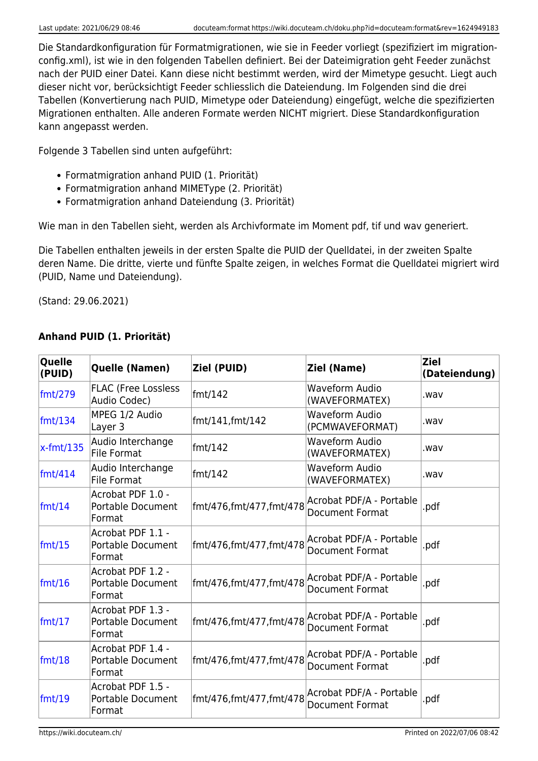Die Standardkonfiguration für Formatmigrationen, wie sie in Feeder vorliegt (spezifiziert im migrationconfig.xml), ist wie in den folgenden Tabellen definiert. Bei der Dateimigration geht Feeder zunächst nach der PUID einer Datei. Kann diese nicht bestimmt werden, wird der Mimetype gesucht. Liegt auch dieser nicht vor, berücksichtigt Feeder schliesslich die Dateiendung. Im Folgenden sind die drei Tabellen (Konvertierung nach PUID, Mimetype oder Dateiendung) eingefügt, welche die spezifizierten Migrationen enthalten. Alle anderen Formate werden NICHT migriert. Diese Standardkonfiguration kann angepasst werden.

Folgende 3 Tabellen sind unten aufgeführt:

- Formatmigration anhand PUID (1. Priorität)
- Formatmigration anhand MIMEType (2. Priorität)
- Formatmigration anhand Dateiendung (3. Priorität)

Wie man in den Tabellen sieht, werden als Archivformate im Moment pdf, tif und wav generiert.

Die Tabellen enthalten jeweils in der ersten Spalte die PUID der Quelldatei, in der zweiten Spalte deren Name. Die dritte, vierte und fünfte Spalte zeigen, in welches Format die Quelldatei migriert wird (PUID, Name und Dateiendung).

(Stand: 29.06.2021)

| Quelle<br>(PUID) | Quelle (Namen)                                   | Ziel (PUID)             | Ziel (Name)                                                                 | <b>Ziel</b><br>(Dateiendung) |
|------------------|--------------------------------------------------|-------------------------|-----------------------------------------------------------------------------|------------------------------|
| fmt/279          | <b>FLAC (Free Lossless</b><br>Audio Codec)       | fmt/142                 | <b>Waveform Audio</b><br>(WAVEFORMATEX)                                     | wav.                         |
| fmt/134          | MPEG 1/2 Audio<br>Layer 3                        | fmt/141, fmt/142        | <b>Waveform Audio</b><br>(PCMWAVEFORMAT)                                    | wav.                         |
| $x$ -fmt/135     | Audio Interchange<br><b>File Format</b>          | fmt/142                 | <b>Waveform Audio</b><br>(WAVEFORMATEX)                                     | wav.                         |
| fmt/414          | Audio Interchange<br>File Format                 | fmt/142                 | <b>Waveform Audio</b><br>(WAVEFORMATEX)                                     | wav.                         |
| fmt/14           | Acrobat PDF 1.0 -<br>Portable Document<br>Format | fmt/476,fmt/477,fmt/478 | Acrobat PDF/A - Portable<br><b>Document Format</b>                          | .pdf                         |
| fmt/15           | Acrobat PDF 1.1 -<br>Portable Document<br>Format | fmt/476,fmt/477,fmt/478 | Acrobat PDF/A - Portable<br><b>Document Format</b>                          | .pdf                         |
| fmt/16           | Acrobat PDF 1.2 -<br>Portable Document<br>Format | fmt/476,fmt/477,fmt/478 | Acrobat PDF/A - Portable<br><b>Document Format</b>                          | .pdf                         |
| fmt/17           | Acrobat PDF 1.3 -<br>Portable Document<br>Format | fmt/476,fmt/477,fmt/478 | Acrobat PDF/A - Portable<br><b>Document Format</b>                          | .pdf                         |
| fmt/18           | Acrobat PDF 1.4 -<br>Portable Document<br>Format |                         | fmt/476,fmt/477,fmt/478  Acrobat PDF/A - Portable<br><b>Document Format</b> | .pdf                         |
| fmt/19           | Acrobat PDF 1.5 -<br>Portable Document<br>Format | fmt/476,fmt/477,fmt/478 | Acrobat PDF/A - Portable<br><b>Document Format</b>                          | .pdf                         |

#### **Anhand PUID (1. Priorität)**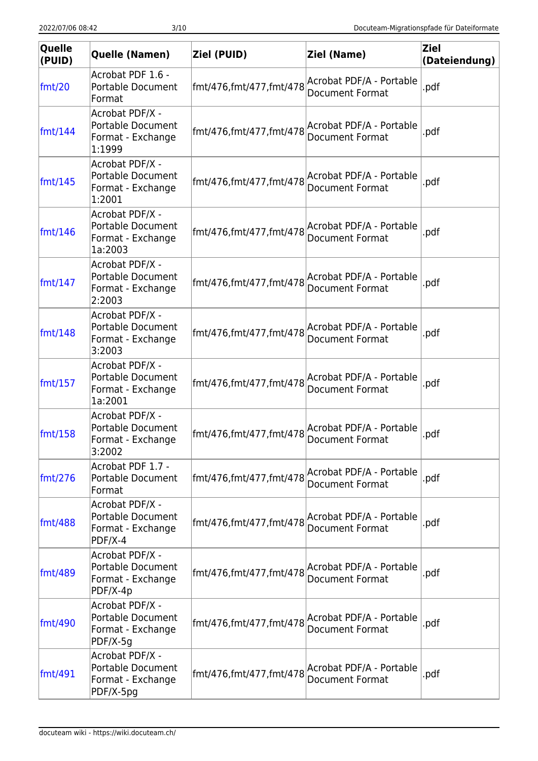| Quelle<br>(PUID)        | Quelle (Namen)                                                                 | Ziel (PUID)             | Ziel (Name)                                        | <b>Ziel</b><br>(Dateiendung) |
|-------------------------|--------------------------------------------------------------------------------|-------------------------|----------------------------------------------------|------------------------------|
| fmt/20                  | Acrobat PDF 1.6 -<br>Portable Document<br>Format                               | fmt/476,fmt/477,fmt/478 | Acrobat PDF/A - Portable<br><b>Document Format</b> | .pdf                         |
| $\text{fmt}/\text{144}$ | Acrobat PDF/X -<br><b>Portable Document</b><br>Format - Exchange<br>1:1999     | fmt/476,fmt/477,fmt/478 | Acrobat PDF/A - Portable<br><b>Document Format</b> | .pdf                         |
| $\text{fmt}/\text{145}$ | Acrobat PDF/X -<br><b>Portable Document</b><br>Format - Exchange<br>1:2001     | fmt/476,fmt/477,fmt/478 | Acrobat PDF/A - Portable<br><b>Document Format</b> | .pdf                         |
| fmt/146                 | Acrobat PDF/X -<br><b>Portable Document</b><br>Format - Exchange<br>1a:2003    | fmt/476,fmt/477,fmt/478 | Acrobat PDF/A - Portable<br>Document Format        | .pdf                         |
| $\text{fmt}/\text{147}$ | Acrobat PDF/X -<br><b>Portable Document</b><br>Format - Exchange<br>2:2003     | fmt/476,fmt/477,fmt/478 | Acrobat PDF/A - Portable<br><b>Document Format</b> | .pdf                         |
| $\text{fmt}/\text{148}$ | Acrobat PDF/X -<br>Portable Document<br>Format - Exchange<br>3:2003            | fmt/476,fmt/477,fmt/478 | Acrobat PDF/A - Portable<br><b>Document Format</b> | .pdf                         |
| fmt/157                 | Acrobat PDF/X -<br><b>Portable Document</b><br>Format - Exchange<br>1a:2001    | fmt/476,fmt/477,fmt/478 | Acrobat PDF/A - Portable<br><b>Document Format</b> | .pdf                         |
| fmt/158                 | Acrobat PDF/X -<br><b>Portable Document</b><br>Format - Exchange<br>3:2002     | fmt/476,fmt/477,fmt/478 | Acrobat PDF/A - Portable<br>Document Format        | .pdf                         |
| $\text{fmt}/276$        | Acrobat PDF 1.7 -<br>Portable Document<br>Format                               | fmt/476,fmt/477,fmt/478 | Acrobat PDF/A - Portable<br><b>Document Format</b> | .pdf                         |
| fmt/488                 | Acrobat PDF/X -<br>Portable Document<br>Format - Exchange<br>$PDF/X-4$         | fmt/476,fmt/477,fmt/478 | Acrobat PDF/A - Portable<br><b>Document Format</b> | .pdf                         |
| fmt/489                 | Acrobat PDF/X -<br><b>Portable Document</b><br>Format - Exchange<br>$PDF/X-4p$ | fmt/476,fmt/477,fmt/478 | Acrobat PDF/A - Portable<br>Document Format        | .pdf                         |
| fmt/490                 | Acrobat PDF/X -<br><b>Portable Document</b><br>Format - Exchange<br>$PDF/X-5g$ | fmt/476,fmt/477,fmt/478 | Acrobat PDF/A - Portable<br>Document Format        | .pdf                         |
| $\text{fmt}/491$        | Acrobat PDF/X -<br>Portable Document<br>Format - Exchange<br>PDF/X-5pg         | fmt/476,fmt/477,fmt/478 | Acrobat PDF/A - Portable<br><b>Document Format</b> | .pdf                         |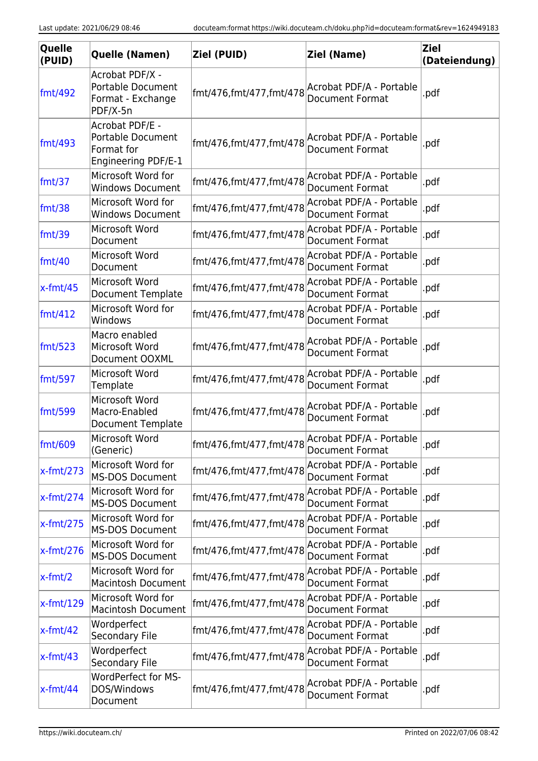| Quelle<br>(PUID) | Quelle (Namen)                                                                   | Ziel (PUID)                                      | Ziel (Name)                                        | <b>Ziel</b><br>(Dateiendung) |
|------------------|----------------------------------------------------------------------------------|--------------------------------------------------|----------------------------------------------------|------------------------------|
| fmt/492          | Acrobat PDF/X -<br><b>Portable Document</b><br>Format - Exchange<br>PDF/X-5n     | fmt/476,fmt/477,fmt/478                          | Acrobat PDF/A - Portable<br><b>Document Format</b> | .pdf                         |
| fmt/493          | Acrobat PDF/E -<br><b>Portable Document</b><br>Format for<br>Engineering PDF/E-1 | fmt/476,fmt/477,fmt/478                          | Acrobat PDF/A - Portable<br><b>Document Format</b> | .pdf                         |
| fmt/37           | Microsoft Word for<br><b>Windows Document</b>                                    | fmt/476,fmt/477,fmt/478                          | Acrobat PDF/A - Portable<br><b>Document Format</b> | .pdf                         |
| fmt/38           | Microsoft Word for<br><b>Windows Document</b>                                    | fmt/476,fmt/477,fmt/478                          | Acrobat PDF/A - Portable<br>Document Format        | .pdf                         |
| fmt/39           | Microsoft Word<br>Document                                                       | fmt/476,fmt/477,fmt/478                          | Acrobat PDF/A - Portable<br><b>Document Format</b> | .pdf                         |
| fmt/40           | Microsoft Word<br>Document                                                       | fmt/476,fmt/477,fmt/478                          | Acrobat PDF/A - Portable<br>Document Format        | .pdf                         |
| $x$ -fmt/45      | Microsoft Word<br>Document Template                                              | fmt/476,fmt/477,fmt/478                          | Acrobat PDF/A - Portable<br>Document Format        | .pdf                         |
| $\text{fmt}/412$ | Microsoft Word for<br>Windows                                                    | fmt/476,fmt/477,fmt/478                          | Acrobat PDF/A - Portable<br>Document Format        | .pdf                         |
| $\text{fmt}/523$ | Macro enabled<br>Microsoft Word<br>Document OOXML                                | fmt/476,fmt/477,fmt/478                          | Acrobat PDF/A - Portable<br>Document Format        | .pdf                         |
| fmt/597          | Microsoft Word<br>Template                                                       | fmt/476,fmt/477,fmt/478                          | Acrobat PDF/A - Portable<br><b>Document Format</b> | .pdf                         |
| fmt/599          | Microsoft Word<br>Macro-Enabled<br>Document Template                             | fmt/476,fmt/477,fmt/478                          | Acrobat PDF/A - Portable<br>Document Format        | .pdf                         |
| fmt/609          | Microsoft Word<br>(Generic)                                                      | fmt/476,fmt/477,fmt/478 Acrobat PDF/A - Portable | Document Format                                    | .pdf                         |
| $x$ -fmt/273     | Microsoft Word for<br><b>MS-DOS Document</b>                                     | fmt/476,fmt/477,fmt/478                          | Acrobat PDF/A - Portable<br><b>Document Format</b> | .pdf                         |
| $x$ -fmt/274     | Microsoft Word for<br><b>MS-DOS Document</b>                                     | fmt/476,fmt/477,fmt/478                          | Acrobat PDF/A - Portable<br><b>Document Format</b> | .pdf                         |
| $x$ -fmt/275     | Microsoft Word for<br><b>MS-DOS Document</b>                                     | fmt/476,fmt/477,fmt/478                          | Acrobat PDF/A - Portable<br><b>Document Format</b> | .pdf                         |
| $x$ -fmt/276     | Microsoft Word for<br><b>MS-DOS Document</b>                                     | fmt/476,fmt/477,fmt/478                          | Acrobat PDF/A - Portable<br><b>Document Format</b> | .pdf                         |
| $x$ -fmt/2       | Microsoft Word for<br><b>Macintosh Document</b>                                  | fmt/476,fmt/477,fmt/478                          | Acrobat PDF/A - Portable<br>Document Format        | .pdf                         |
| $x$ -fmt/129     | Microsoft Word for<br><b>Macintosh Document</b>                                  | fmt/476,fmt/477,fmt/478                          | Acrobat PDF/A - Portable<br>Document Format        | .pdf                         |
| $x$ -fmt/42      | Wordperfect<br>Secondary File                                                    | fmt/476,fmt/477,fmt/478                          | Acrobat PDF/A - Portable<br>Document Format        | .pdf                         |
| $x$ -fmt/43      | Wordperfect<br>Secondary File                                                    | fmt/476,fmt/477,fmt/478                          | Acrobat PDF/A - Portable<br>Document Format        | .pdf                         |
| $x$ -fmt/44      | <b>WordPerfect for MS-</b><br>DOS/Windows<br>Document                            | fmt/476,fmt/477,fmt/478                          | Acrobat PDF/A - Portable<br>Document Format        | .pdf                         |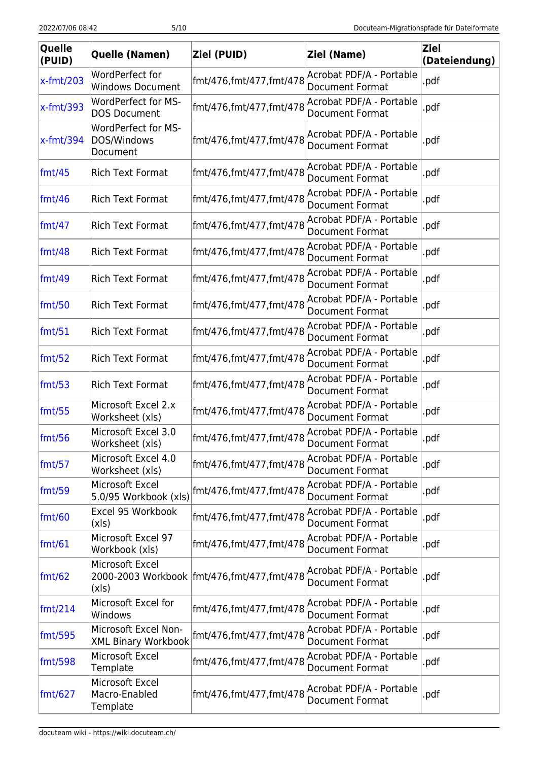| Quelle<br>(PUID) | Quelle (Namen)                                        | Ziel (PUID)                                 | Ziel (Name)                                        | <b>Ziel</b><br>(Dateiendung) |
|------------------|-------------------------------------------------------|---------------------------------------------|----------------------------------------------------|------------------------------|
| $x$ -fmt/203     | WordPerfect for<br><b>Windows Document</b>            | fmt/476,fmt/477,fmt/478                     | Acrobat PDF/A - Portable<br>Document Format        | .pdf                         |
| $x$ -fmt/393     | WordPerfect for MS-<br><b>DOS Document</b>            | fmt/476,fmt/477,fmt/478                     | Acrobat PDF/A - Portable<br>Document Format        | .pdf                         |
| x-fmt/394        | <b>WordPerfect for MS-</b><br>DOS/Windows<br>Document | fmt/476,fmt/477,fmt/478                     | Acrobat PDF/A - Portable<br>Document Format        | .pdf                         |
| fmt/45           | <b>Rich Text Format</b>                               | fmt/476,fmt/477,fmt/478                     | Acrobat PDF/A - Portable<br>Document Format        | .pdf                         |
| fmt/46           | <b>Rich Text Format</b>                               | fmt/476,fmt/477,fmt/478                     | Acrobat PDF/A - Portable<br>Document Format        | .pdf                         |
| $\text{fmt}/47$  | <b>Rich Text Format</b>                               | fmt/476,fmt/477,fmt/478                     | Acrobat PDF/A - Portable<br><b>Document Format</b> | .pdf                         |
| fmt/48           | <b>Rich Text Format</b>                               | fmt/476,fmt/477,fmt/478                     | Acrobat PDF/A - Portable<br>Document Format        | .pdf                         |
| fmt/49           | <b>Rich Text Format</b>                               | fmt/476,fmt/477,fmt/478                     | Acrobat PDF/A - Portable<br><b>Document Format</b> | .pdf                         |
| fmt/50           | <b>Rich Text Format</b>                               | fmt/476,fmt/477,fmt/478                     | Acrobat PDF/A - Portable<br>Document Format        | .pdf                         |
| fmt/51           | <b>Rich Text Format</b>                               | fmt/476,fmt/477,fmt/478                     | Acrobat PDF/A - Portable<br><b>Document Format</b> | .pdf                         |
| fmt/52           | <b>Rich Text Format</b>                               | fmt/476,fmt/477,fmt/478                     | Acrobat PDF/A - Portable<br>Document Format        | .pdf                         |
| fmt/53           | <b>Rich Text Format</b>                               | fmt/476,fmt/477,fmt/478                     | Acrobat PDF/A - Portable<br>Document Format        | .pdf                         |
| fmt/55           | Microsoft Excel 2.x<br>Worksheet (xls)                | fmt/476,fmt/477,fmt/478                     | Acrobat PDF/A - Portable<br><b>Document Format</b> | .pdf                         |
| fmt/56           | Microsoft Excel 3.0<br>Worksheet (xls)                | fmt/476,fmt/477,fmt/478                     | Acrobat PDF/A - Portable<br>Document Format        | .pdf                         |
| fmt/57           | Microsoft Excel 4.0<br>Worksheet (xls)                | fmt/476,fmt/477,fmt/478                     | Acrobat PDF/A - Portable<br><b>Document Format</b> | .pdf                         |
| fmt/59           | Microsoft Excel<br>5.0/95 Workbook (xls)              | fmt/476,fmt/477,fmt/478                     | Acrobat PDF/A - Portable<br>Document Format        | .pdf                         |
| fmt/60           | Excel 95 Workbook<br>(xls)                            | fmt/476,fmt/477,fmt/478                     | Acrobat PDF/A - Portable<br><b>Document Format</b> | .pdf                         |
| $\text{fmt}/61$  | Microsoft Excel 97<br>Workbook (xls)                  | fmt/476,fmt/477,fmt/478                     | Acrobat PDF/A - Portable<br><b>Document Format</b> | .pdf                         |
| $\text{fmt}/62$  | Microsoft Excel<br>(xls)                              | 2000-2003 Workbook  fmt/476,fmt/477,fmt/478 | Acrobat PDF/A - Portable<br>Document Format        | .pdf                         |
| $\text{fmt}/214$ | Microsoft Excel for<br>Windows                        | fmt/476,fmt/477,fmt/478                     | Acrobat PDF/A - Portable<br><b>Document Format</b> | .pdf                         |
| fmt/595          | Microsoft Excel Non-<br><b>XML Binary Workbook</b>    | fmt/476,fmt/477,fmt/478                     | Acrobat PDF/A - Portable<br><b>Document Format</b> | .pdf                         |
| fmt/598          | Microsoft Excel<br>Template                           | fmt/476,fmt/477,fmt/478                     | Acrobat PDF/A - Portable<br>Document Format        | .pdf                         |
| $\text{fmt}/627$ | Microsoft Excel<br>Macro-Enabled<br>Template          | fmt/476,fmt/477,fmt/478                     | Acrobat PDF/A - Portable<br>Document Format        | .pdf                         |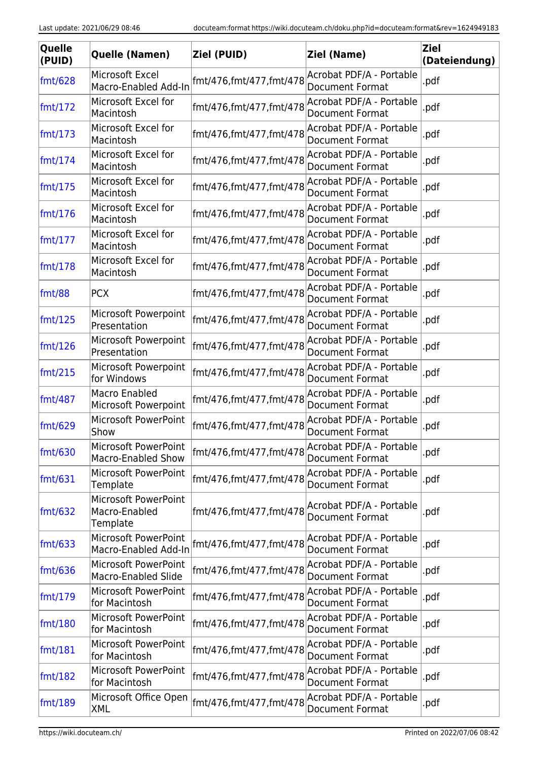| Quelle<br>(PUID) | Quelle (Namen)                                    | Ziel (PUID)             | Ziel (Name)                                        | <b>Ziel</b><br>(Dateiendung) |
|------------------|---------------------------------------------------|-------------------------|----------------------------------------------------|------------------------------|
| fmt/628          | Microsoft Excel<br>Macro-Enabled Add-In           | fmt/476,fmt/477,fmt/478 | Acrobat PDF/A - Portable<br><b>Document Format</b> | .pdf                         |
| fmt/172          | Microsoft Excel for<br>Macintosh                  | fmt/476,fmt/477,fmt/478 | Acrobat PDF/A - Portable<br><b>Document Format</b> | .pdf                         |
| fmt/173          | Microsoft Excel for<br>Macintosh                  | fmt/476,fmt/477,fmt/478 | Acrobat PDF/A - Portable<br><b>Document Format</b> | .pdf                         |
| fmt/174          | Microsoft Excel for<br>Macintosh                  | fmt/476,fmt/477,fmt/478 | Acrobat PDF/A - Portable<br><b>Document Format</b> | .pdf                         |
| fmt/175          | Microsoft Excel for<br>Macintosh                  | fmt/476,fmt/477,fmt/478 | Acrobat PDF/A - Portable<br>Document Format        | .pdf                         |
| fmt/176          | Microsoft Excel for<br>Macintosh                  | fmt/476,fmt/477,fmt/478 | Acrobat PDF/A - Portable<br><b>Document Format</b> | .pdf                         |
| fmt/177          | Microsoft Excel for<br>Macintosh                  | fmt/476,fmt/477,fmt/478 | Acrobat PDF/A - Portable<br>Document Format        | .pdf                         |
| fmt/178          | Microsoft Excel for<br>Macintosh                  | fmt/476,fmt/477,fmt/478 | Acrobat PDF/A - Portable<br>Document Format        | .pdf                         |
| fmt/88           | <b>PCX</b>                                        | fmt/476,fmt/477,fmt/478 | Acrobat PDF/A - Portable<br><b>Document Format</b> | .pdf                         |
| fmt/125          | Microsoft Powerpoint<br>Presentation              | fmt/476,fmt/477,fmt/478 | Acrobat PDF/A - Portable<br><b>Document Format</b> | .pdf                         |
| fmt/126          | <b>Microsoft Powerpoint</b><br>Presentation       | fmt/476,fmt/477,fmt/478 | Acrobat PDF/A - Portable<br><b>Document Format</b> | .pdf                         |
| fmt/215          | Microsoft Powerpoint<br>for Windows               | fmt/476,fmt/477,fmt/478 | Acrobat PDF/A - Portable<br><b>Document Format</b> | .pdf                         |
| fmt/487          | Macro Enabled<br>Microsoft Powerpoint             | fmt/476,fmt/477,fmt/478 | Acrobat PDF/A - Portable<br><b>Document Format</b> | .pdf                         |
| fmt/629          | Microsoft PowerPoint<br>Show                      | fmt/476,fmt/477,fmt/478 | Acrobat PDF/A - Portable<br>Document Format        | .pdf                         |
| fmt/630          | Microsoft PowerPoint<br><b>Macro-Enabled Show</b> | fmt/476,fmt/477,fmt/478 | Acrobat PDF/A - Portable<br>Document Format        | .pdf                         |
| fmt/631          | Microsoft PowerPoint<br>Template                  | fmt/476,fmt/477,fmt/478 | Acrobat PDF/A - Portable<br><b>Document Format</b> | .pdf                         |
| fmt/632          | Microsoft PowerPoint<br>Macro-Enabled<br>Template | fmt/476,fmt/477,fmt/478 | Acrobat PDF/A - Portable<br>Document Format        | .pdf                         |
| fmt/633          | Microsoft PowerPoint<br>Macro-Enabled Add-In      | fmt/476,fmt/477,fmt/478 | Acrobat PDF/A - Portable<br>Document Format        | .pdf                         |
| fmt/636          | Microsoft PowerPoint<br>Macro-Enabled Slide       | fmt/476,fmt/477,fmt/478 | Acrobat PDF/A - Portable<br>Document Format        | .pdf                         |
| fmt/179          | Microsoft PowerPoint<br>for Macintosh             | fmt/476,fmt/477,fmt/478 | Acrobat PDF/A - Portable<br><b>Document Format</b> | .pdf                         |
| fmt/180          | Microsoft PowerPoint<br>for Macintosh             | fmt/476,fmt/477,fmt/478 | Acrobat PDF/A - Portable<br><b>Document Format</b> | .pdf                         |
| fmt/181          | Microsoft PowerPoint<br>for Macintosh             | fmt/476,fmt/477,fmt/478 | Acrobat PDF/A - Portable<br><b>Document Format</b> | .pdf                         |
| fmt/182          | Microsoft PowerPoint<br>for Macintosh             | fmt/476,fmt/477,fmt/478 | Acrobat PDF/A - Portable<br>Document Format        | .pdf                         |
| fmt/189          | Microsoft Office Open<br>XML                      | fmt/476,fmt/477,fmt/478 | Acrobat PDF/A - Portable<br>Document Format        | .pdf                         |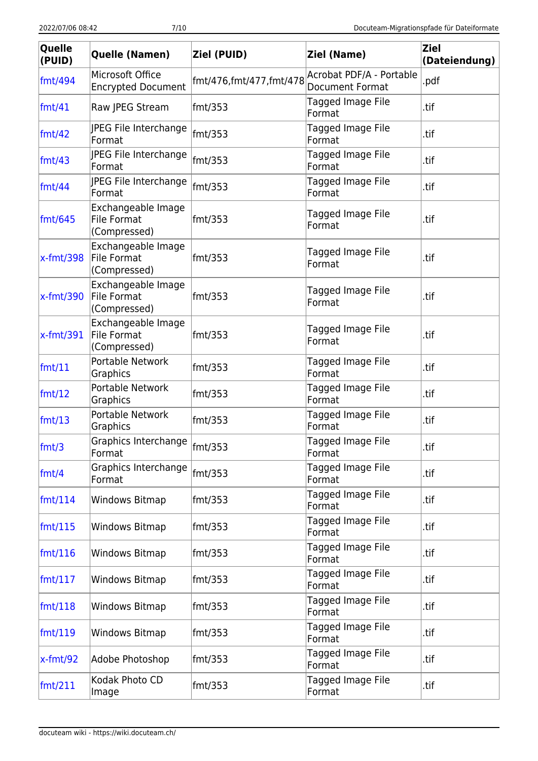| Quelle<br>(PUID)        | Quelle (Namen)                                           | Ziel (PUID)             | Ziel (Name)                                        | <b>Ziel</b><br>(Dateiendung) |
|-------------------------|----------------------------------------------------------|-------------------------|----------------------------------------------------|------------------------------|
| fmt/494                 | Microsoft Office<br><b>Encrypted Document</b>            | fmt/476,fmt/477,fmt/478 | Acrobat PDF/A - Portable<br><b>Document Format</b> | .pdf                         |
| fmt/41                  | Raw JPEG Stream                                          | fmt/353                 | Tagged Image File<br>Format                        | .tif                         |
| $\text{fmt}/42$         | JPEG File Interchange<br>Format                          | $\text{fmt/}353$        | Tagged Image File<br>Format                        | .tif                         |
| $\text{fmt}/43$         | JPEG File Interchange<br>Format                          | $\text{fmt/353}$        | Tagged Image File<br>Format                        | .tif                         |
| fmt/44                  | JPEG File Interchange<br>Format                          | fmt/353                 | Tagged Image File<br>Format                        | .tif                         |
| $\text{fmt}/\text{645}$ | Exchangeable Image<br>File Format<br>(Compressed)        | fmt/353                 | Tagged Image File<br>Format                        | .tif                         |
| $x$ -fmt/398            | Exchangeable Image<br><b>File Format</b><br>(Compressed) | fmt/353                 | Tagged Image File<br>Format                        | .tif                         |
| $x$ -fmt/390            | Exchangeable Image<br><b>File Format</b><br>(Compressed) | fmt/353                 | Tagged Image File<br>Format                        | .tif                         |
| $x$ -fmt/391            | Exchangeable Image<br><b>File Format</b><br>(Compressed) | fmt/353                 | Tagged Image File<br>Format                        | .tif                         |
| fmt/11                  | Portable Network<br>Graphics                             | fmt/353                 | Tagged Image File<br>Format                        | .tif                         |
| fmt/12                  | Portable Network<br>Graphics                             | fmt/353                 | Tagged Image File<br>Format                        | .tif                         |
| fmt/13                  | Portable Network<br>Graphics                             | fmt/353                 | Tagged Image File<br>Format                        | .tif                         |
| $\text{fmt/3}$          | Graphics Interchange fmt/353<br>Format                   |                         | Tagged Image File<br>Format                        | .tif                         |
| fmt/4                   | Graphics Interchange<br>Format                           | fmt/353                 | Tagged Image File<br>Format                        | .tif                         |
| $\text{fmt}/\text{114}$ | Windows Bitmap                                           | fmt/353                 | Tagged Image File<br>Format                        | .tif                         |
| $\text{fmt}/115$        | Windows Bitmap                                           | fmt/353                 | Tagged Image File<br>Format                        | .tif                         |
| $\text{fmt}/\text{116}$ | Windows Bitmap                                           | fmt/353                 | Tagged Image File<br>Format                        | .tif                         |
| $\text{fmt}/\text{117}$ | Windows Bitmap                                           | fmt/353                 | Tagged Image File<br>Format                        | .tif                         |
| $\text{fmt}/\text{118}$ | Windows Bitmap                                           | fmt/353                 | Tagged Image File<br>Format                        | .tif                         |
| $\text{fmt}/\text{119}$ | Windows Bitmap                                           | fmt/353                 | Tagged Image File<br>Format                        | .tif                         |
| $x$ -fmt/92             | Adobe Photoshop                                          | fmt/353                 | Tagged Image File<br>Format                        | .tif                         |
| $\text{fmt}/211$        | Kodak Photo CD<br>Image                                  | fmt/353                 | Tagged Image File<br>Format                        | .tif                         |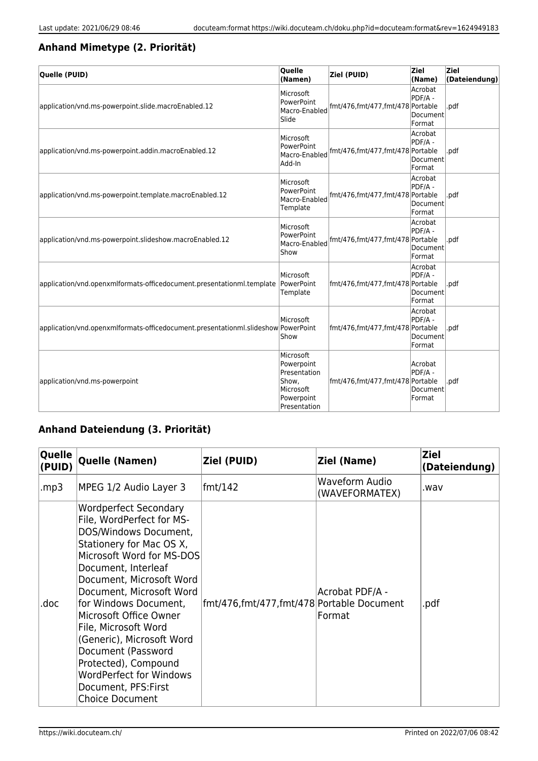#### **Anhand Mimetype (2. Priorität)**

| Quelle (PUID)                                                                     | Quelle<br>(Namen)                                                                           | Ziel (PUID)                      | Ziel<br>(Name)                           | <b>Ziel</b><br>(Dateiendung) |
|-----------------------------------------------------------------------------------|---------------------------------------------------------------------------------------------|----------------------------------|------------------------------------------|------------------------------|
| application/vnd.ms-powerpoint.slide.macroEnabled.12                               | Microsoft<br>PowerPoint<br>Macro-Enabled<br>Slide                                           | fmt/476,fmt/477,fmt/478 Portable | Acrobat<br>PDF/A -<br>Document<br>Format | .pdf                         |
| application/vnd.ms-powerpoint.addin.macroEnabled.12                               | Microsoft<br>PowerPoint<br>Macro-Enabled<br>Add-In                                          | fmt/476,fmt/477,fmt/478 Portable | Acrobat<br>PDF/A -<br>Document<br>Format | .pdf                         |
| application/vnd.ms-powerpoint.template.macroEnabled.12                            | Microsoft<br>PowerPoint<br>Macro-Enabled<br>Template                                        | fmt/476,fmt/477,fmt/478 Portable | Acrobat<br>PDF/A -<br>Document<br>Format | .pdf                         |
| application/vnd.ms-powerpoint.slideshow.macroEnabled.12                           | Microsoft<br>PowerPoint<br>Macro-Enabled<br>Show                                            | fmt/476,fmt/477,fmt/478 Portable | Acrobat<br>PDF/A -<br>Document<br>Format | .pdf                         |
| application/vnd.openxmlformats-officedocument.presentationml.template             | Microsoft<br>PowerPoint<br>Template                                                         | fmt/476,fmt/477,fmt/478 Portable | Acrobat<br>PDF/A -<br>Document<br>Format | .pdf                         |
| application/vnd.openxmlformats-officedocument.presentationml.slideshow PowerPoint | Microsoft<br>Show                                                                           | fmt/476,fmt/477,fmt/478 Portable | Acrobat<br>PDF/A -<br>Document<br>Format | .pdf                         |
| application/vnd.ms-powerpoint                                                     | Microsoft<br>Powerpoint<br>Presentation<br>Show,<br>Microsoft<br>Powerpoint<br>Presentation | fmt/476,fmt/477,fmt/478 Portable | Acrobat<br>PDF/A -<br>Document<br>Format | .pdf                         |

#### **Anhand Dateiendung (3. Priorität)**

| Quelle<br>(PUID) | Quelle (Namen)                                                                                                                                                                                                                                                                                                                                                                                                                                                       | Ziel (PUID)                               | Ziel (Name)                      | <b>Ziel</b><br>(Dateiendung) |
|------------------|----------------------------------------------------------------------------------------------------------------------------------------------------------------------------------------------------------------------------------------------------------------------------------------------------------------------------------------------------------------------------------------------------------------------------------------------------------------------|-------------------------------------------|----------------------------------|------------------------------|
| mp3.             | MPEG 1/2 Audio Layer 3                                                                                                                                                                                                                                                                                                                                                                                                                                               | fmt/142                                   | Waveform Audio<br>(WAVEFORMATEX) | .wav                         |
| .doc             | <b>Wordperfect Secondary</b><br>File, WordPerfect for MS-<br>DOS/Windows Document,<br>Stationery for Mac OS X,<br>Microsoft Word for MS-DOS<br>Document, Interleaf<br>Document, Microsoft Word<br>Document, Microsoft Word<br>for Windows Document,<br>Microsoft Office Owner<br>File, Microsoft Word<br>(Generic), Microsoft Word<br>Document (Password<br>Protected), Compound<br><b>WordPerfect for Windows</b><br>Document, PFS: First<br><b>Choice Document</b> | fmt/476,fmt/477,fmt/478 Portable Document | Acrobat PDF/A -<br>Format        | .pdf                         |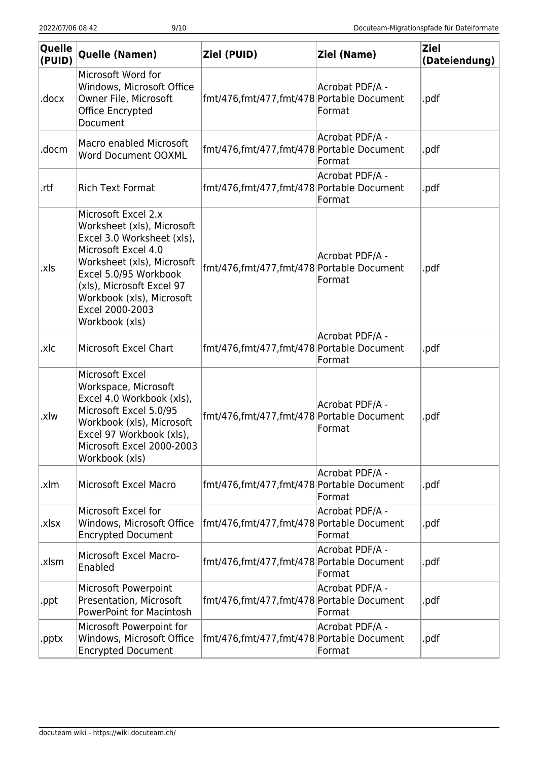| Quelle<br>(PUID) | Quelle (Namen)                                                                                                                                                                                                                                               | Ziel (PUID)                               | <b>Ziel (Name)</b>        | <b>Ziel</b><br>(Dateiendung) |
|------------------|--------------------------------------------------------------------------------------------------------------------------------------------------------------------------------------------------------------------------------------------------------------|-------------------------------------------|---------------------------|------------------------------|
| .docx            | Microsoft Word for<br>Windows, Microsoft Office<br>Owner File, Microsoft<br>Office Encrypted<br>Document                                                                                                                                                     | fmt/476,fmt/477,fmt/478 Portable Document | Acrobat PDF/A -<br>Format | .pdf                         |
| docm.            | Macro enabled Microsoft<br><b>Word Document OOXML</b>                                                                                                                                                                                                        | fmt/476,fmt/477,fmt/478 Portable Document | Acrobat PDF/A -<br>Format | .pdf                         |
| .rtf             | <b>Rich Text Format</b>                                                                                                                                                                                                                                      | fmt/476,fmt/477,fmt/478 Portable Document | Acrobat PDF/A -<br>Format | .pdf                         |
| .xls             | Microsoft Excel 2.x<br>Worksheet (xls), Microsoft<br>Excel 3.0 Worksheet (xls),<br>Microsoft Excel 4.0<br>Worksheet (xls), Microsoft<br>Excel 5.0/95 Workbook<br>(xls), Microsoft Excel 97<br>Workbook (xls), Microsoft<br>Excel 2000-2003<br>Workbook (xls) | fmt/476,fmt/477,fmt/478 Portable Document | Acrobat PDF/A -<br>Format | .pdf                         |
| .xlc             | Microsoft Excel Chart                                                                                                                                                                                                                                        | fmt/476,fmt/477,fmt/478 Portable Document | Acrobat PDF/A -<br>Format | .pdf                         |
| .xlw             | Microsoft Excel<br>Workspace, Microsoft<br>Excel 4.0 Workbook (xls),<br>Microsoft Excel 5.0/95<br>Workbook (xls), Microsoft<br>Excel 97 Workbook (xls),<br>Microsoft Excel 2000-2003<br>Workbook (xls)                                                       | fmt/476,fmt/477,fmt/478 Portable Document | Acrobat PDF/A -<br>Format | .pdf                         |
| .xlm             | Microsoft Excel Macro                                                                                                                                                                                                                                        | fmt/476,fmt/477,fmt/478 Portable Document | Acrobat PDF/A -<br>Format | .pdf                         |
| xlsx.            | Microsoft Excel for<br>Windows, Microsoft Office<br><b>Encrypted Document</b>                                                                                                                                                                                | fmt/476,fmt/477,fmt/478 Portable Document | Acrobat PDF/A -<br>Format | .pdf                         |
| .xlsm            | Microsoft Excel Macro-<br>Enabled                                                                                                                                                                                                                            | fmt/476,fmt/477,fmt/478 Portable Document | Acrobat PDF/A -<br>Format | .pdf                         |
| .ppt             | Microsoft Powerpoint<br>Presentation, Microsoft<br><b>PowerPoint for Macintosh</b>                                                                                                                                                                           | fmt/476,fmt/477,fmt/478 Portable Document | Acrobat PDF/A -<br>Format | .pdf                         |
| .pptx            | Microsoft Powerpoint for<br>Windows, Microsoft Office<br><b>Encrypted Document</b>                                                                                                                                                                           | fmt/476,fmt/477,fmt/478 Portable Document | Acrobat PDF/A -<br>Format | .pdf                         |